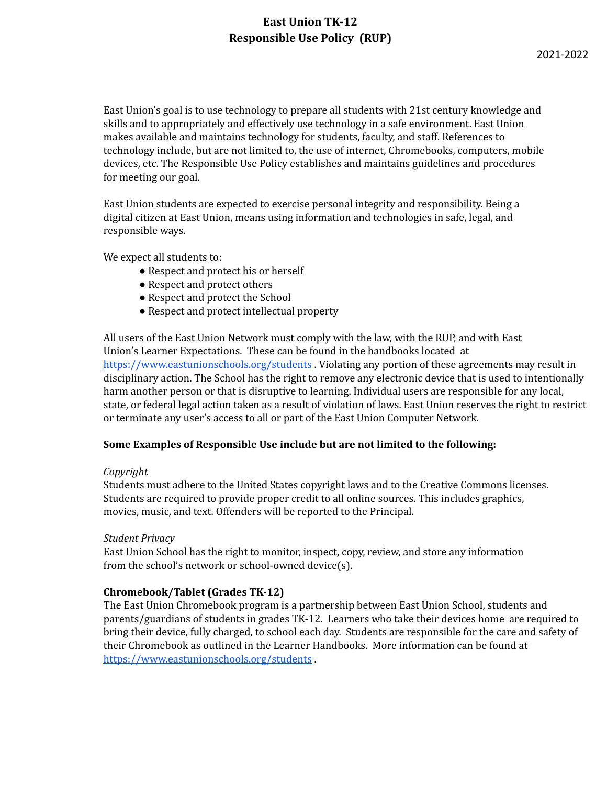## **East Union TK-12 Responsible Use Policy (RUP)**

East Union's goal is to use technology to prepare all students with 21st century knowledge and skills and to appropriately and effectively use technology in a safe environment. East Union makes available and maintains technology for students, faculty, and staff. References to technology include, but are not limited to, the use of internet, Chromebooks, computers, mobile devices, etc. The Responsible Use Policy establishes and maintains guidelines and procedures for meeting our goal.

East Union students are expected to exercise personal integrity and responsibility. Being a digital citizen at East Union, means using information and technologies in safe, legal, and responsible ways.

We expect all students to:

- Respect and protect his or herself
- Respect and protect others
- Respect and protect the School
- Respect and protect intellectual property

All users of the East Union Network must comply with the law, with the RUP, and with East Union's Learner Expectations. These can be found in the handbooks located at <https://www.eastunionschools.org/students> . Violating any portion of these agreements may result in disciplinary action. The School has the right to remove any electronic device that is used to intentionally harm another person or that is disruptive to learning. Individual users are responsible for any local, state, or federal legal action taken as a result of violation of laws. East Union reserves the right to restrict or terminate any user's access to all or part of the East Union Computer Network.

### **Some Examples of Responsible Use include but are not limited to the following:**

### *Copyright*

Students must adhere to the United States copyright laws and to the Creative Commons licenses. Students are required to provide proper credit to all online sources. This includes graphics, movies, music, and text. Offenders will be reported to the Principal.

### *Student Privacy*

East Union School has the right to monitor, inspect, copy, review, and store any information from the school's network or school-owned device(s).

### **Chromebook/Tablet (Grades TK-12)**

The East Union Chromebook program is a partnership between East Union School, students and parents/guardians of students in grades TK-12. Learners who take their devices home are required to bring their device, fully charged, to school each day. Students are responsible for the care and safety of their Chromebook as outlined in the Learner Handbooks. More information can be found at <https://www.eastunionschools.org/students> .